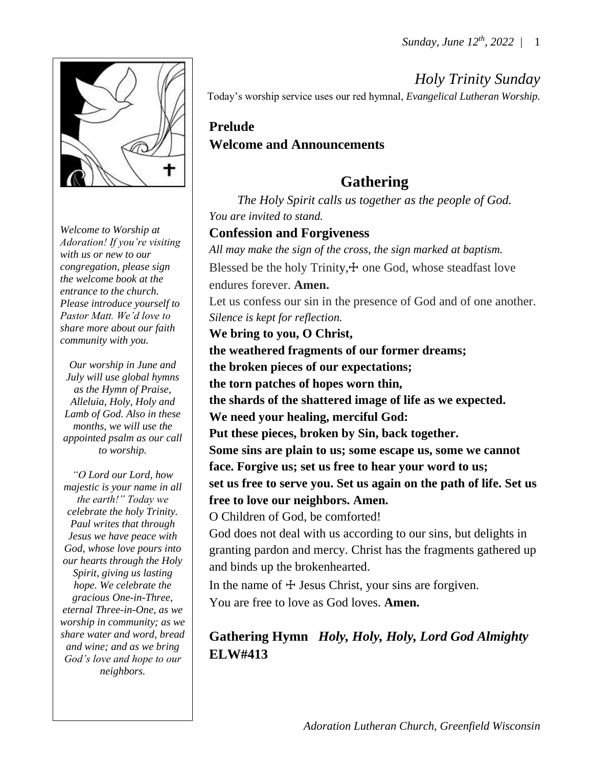

*Welcome to Worship at Adoration! If you're visiting with us or new to our congregation, please sign the welcome book at the entrance to the church. Please introduce yourself to Pastor Matt. We'd love to share more about our faith community with you.*

*Our worship in June and July will use global hymns as the Hymn of Praise, Alleluia, Holy, Holy and Lamb of God. Also in these months, we will use the appointed psalm as our call to worship.*

*"O Lord our Lord, how majestic is your name in all the earth!" Today we celebrate the holy Trinity. Paul writes that through Jesus we have peace with God, whose love pours into our hearts through the Holy Spirit, giving us lasting hope. We celebrate the gracious One-in-Three, eternal Three-in-One, as we worship in community; as we share water and word, bread and wine; and as we bring God's love and hope to our neighbors.*

*Holy Trinity Sunday* Today's worship service uses our red hymnal, *Evangelical Lutheran Worship.*

## **Prelude Welcome and Announcements**

# **Gathering**

*The Holy Spirit calls us together as the people of God. You are invited to stand.* 

## **Confession and Forgiveness**

*All may make the sign of the cross, the sign marked at baptism.* Blessed be the holy Trinity, $+$  one God, whose steadfast love endures forever. **Amen.** Let us confess our sin in the presence of God and of one another. *Silence is kept for reflection.* **We bring to you, O Christ, the weathered fragments of our former dreams; the broken pieces of our expectations; the torn patches of hopes worn thin, the shards of the shattered image of life as we expected. We need your healing, merciful God: Put these pieces, broken by Sin, back together. Some sins are plain to us; some escape us, some we cannot face. Forgive us; set us free to hear your word to us;**

**set us free to serve you. Set us again on the path of life. Set us free to love our neighbors. Amen.** 

O Children of God, be comforted!

God does not deal with us according to our sins, but delights in granting pardon and mercy. Christ has the fragments gathered up and binds up the brokenhearted.

In the name of  $\pm$  Jesus Christ, your sins are forgiven. You are free to love as God loves. **Amen.**

## **Gathering Hymn** *Holy, Holy, Holy, Lord God Almighty* **ELW#413**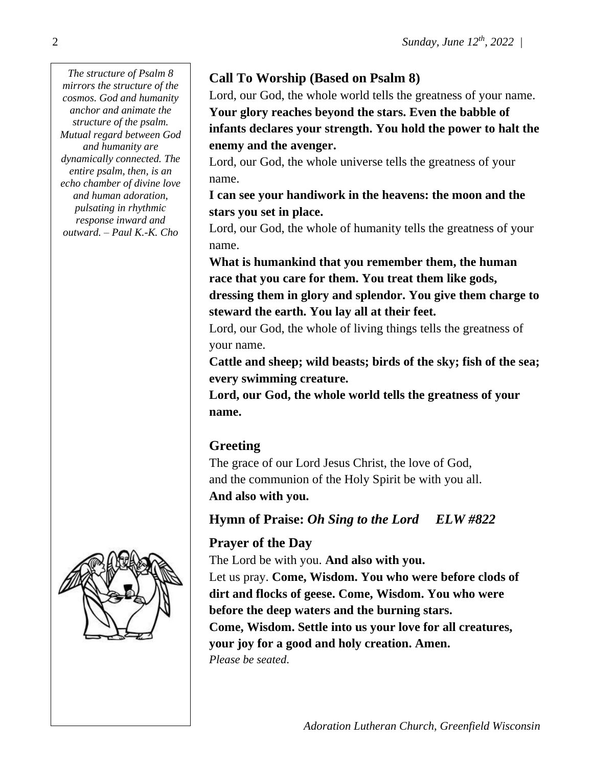*The structure of Psalm 8 mirrors the structure of the cosmos. God and humanity anchor and animate the structure of the psalm. Mutual regard between God and humanity are dynamically connected. The entire psalm, then, is an echo chamber of divine love and human adoration, pulsating in rhythmic response inward and outward. – Paul K.-K. Cho*



## **Call To Worship (Based on Psalm 8)**

Lord, our God, the whole world tells the greatness of your name. **Your glory reaches beyond the stars. Even the babble of infants declares your strength. You hold the power to halt the enemy and the avenger.** 

Lord, our God, the whole universe tells the greatness of your name.

**I can see your handiwork in the heavens: the moon and the stars you set in place.** 

Lord, our God, the whole of humanity tells the greatness of your name.

**What is humankind that you remember them, the human race that you care for them. You treat them like gods, dressing them in glory and splendor. You give them charge to steward the earth. You lay all at their feet.**

Lord, our God, the whole of living things tells the greatness of your name.

**Cattle and sheep; wild beasts; birds of the sky; fish of the sea; every swimming creature.** 

**Lord, our God, the whole world tells the greatness of your name.**

## **Greeting**

The grace of our Lord Jesus Christ, the love of God, and the communion of the Holy Spirit be with you all. **And also with you.**

**Hymn of Praise:** *Oh Sing to the Lord ELW #822*

## **Prayer of the Day**

The Lord be with you. **And also with you.** Let us pray. **Come, Wisdom. You who were before clods of dirt and flocks of geese. Come, Wisdom. You who were before the deep waters and the burning stars. Come, Wisdom. Settle into us your love for all creatures, your joy for a good and holy creation. Amen.**  *Please be seated*.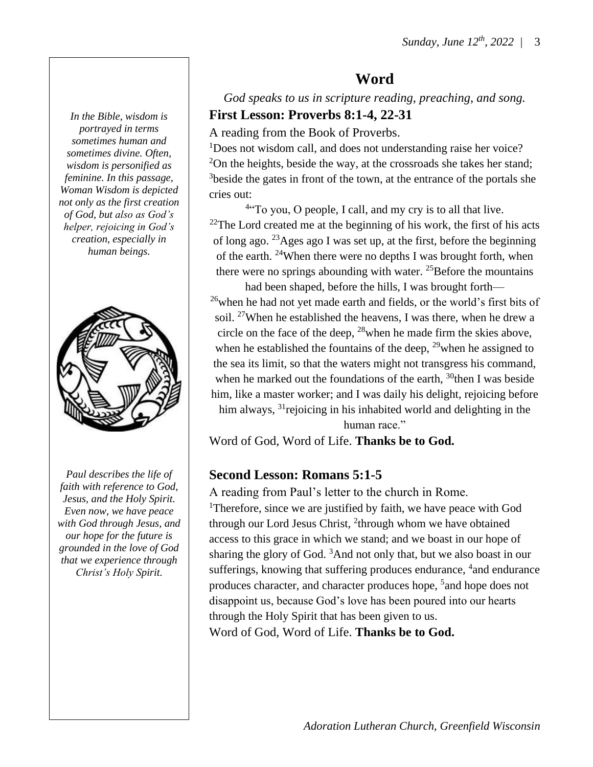**Word**

*God speaks to us in scripture reading, preaching, and song.* **First Lesson: Proverbs 8:1-4, 22-31**

A reading from the Book of Proverbs.

<sup>1</sup>Does not wisdom call, and does not understanding raise her voice?  $2$ On the heights, beside the way, at the crossroads she takes her stand; <sup>3</sup>beside the gates in front of the town, at the entrance of the portals she cries out:

<sup>4</sup>To you, O people, I call, and my cry is to all that live.  $22$ The Lord created me at the beginning of his work, the first of his acts of long ago. <sup>23</sup>Ages ago I was set up, at the first, before the beginning of the earth. <sup>24</sup>When there were no depths I was brought forth, when there were no springs abounding with water.  $^{25}$ Before the mountains

had been shaped, before the hills, I was brought forth—  $26$  when he had not yet made earth and fields, or the world's first bits of soil. <sup>27</sup>When he established the heavens, I was there, when he drew a circle on the face of the deep,  $^{28}$  when he made firm the skies above, when he established the fountains of the deep,  $^{29}$  when he assigned to the sea its limit, so that the waters might not transgress his command, when he marked out the foundations of the earth,  $30$ <sup>then</sup> I was beside him, like a master worker; and I was daily his delight, rejoicing before him always, <sup>31</sup> rejoicing in his inhabited world and delighting in the

human race."

Word of God, Word of Life. **Thanks be to God.**

#### **Second Lesson: Romans 5:1-5**

A reading from Paul's letter to the church in Rome.

<sup>1</sup>Therefore, since we are justified by faith, we have peace with God through our Lord Jesus Christ, <sup>2</sup>through whom we have obtained access to this grace in which we stand; and we boast in our hope of sharing the glory of God.  $3$ And not only that, but we also boast in our sufferings, knowing that suffering produces endurance, <sup>4</sup> and endurance produces character, and character produces hope, <sup>5</sup> and hope does not disappoint us, because God's love has been poured into our hearts through the Holy Spirit that has been given to us. Word of God, Word of Life. **Thanks be to God.**

*In the Bible, wisdom is portrayed in terms sometimes human and sometimes divine. Often, wisdom is personified as feminine. In this passage, Woman Wisdom is depicted not only as the first creation of God, but also as God's helper, rejoicing in God's creation, especially in human beings.*



*Paul describes the life of faith with reference to God, Jesus, and the Holy Spirit. Even now, we have peace with God through Jesus, and our hope for the future is grounded in the love of God that we experience through Christ's Holy Spirit.*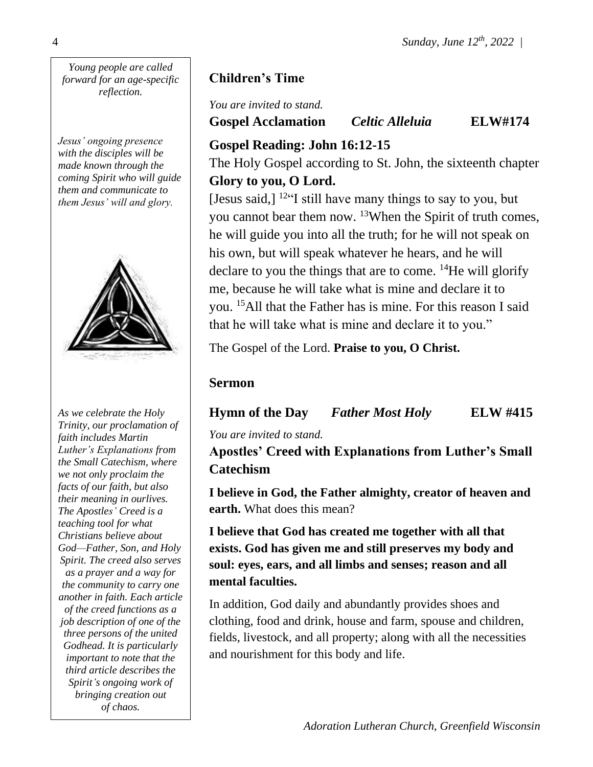*Young people are called forward for an age-specific reflection.*

*Jesus' ongoing presence with the disciples will be made known through the coming Spirit who will guide them and communicate to them Jesus' will and glory.*



*As we celebrate the Holy Trinity, our proclamation of faith includes Martin Luther's Explanations from the Small Catechism, where we not only proclaim the facts of our faith, but also their meaning in ourlives. The Apostles' Creed is a teaching tool for what Christians believe about God—Father, Son, and Holy Spirit. The creed also serves as a prayer and a way for the community to carry one another in faith. Each article of the creed functions as a job description of one of the three persons of the united Godhead. It is particularly important to note that the third article describes the Spirit's ongoing work of bringing creation out of chaos.*

## **Children's Time**

*You are invited to stand.* **Gospel Acclamation** *Celtic Alleluia* **ELW#174**

## **Gospel Reading: John 16:12-15**

The Holy Gospel according to St. John, the sixteenth chapter **Glory to you, O Lord.**

[Jesus said,]  $12 \cdot$  [I still have many things to say to you, but you cannot bear them now. <sup>13</sup>When the Spirit of truth comes, he will guide you into all the truth; for he will not speak on his own, but will speak whatever he hears, and he will declare to you the things that are to come. <sup>14</sup>He will glorify me, because he will take what is mine and declare it to you. <sup>15</sup>All that the Father has is mine. For this reason I said that he will take what is mine and declare it to you."

The Gospel of the Lord. **Praise to you, O Christ.**

## **Sermon**

**Hymn of the Day** *Father Most Holy* **ELW #415**

*You are invited to stand.*

**Apostles' Creed with Explanations from Luther's Small Catechism**

**I believe in God, the Father almighty, creator of heaven and earth.** What does this mean?

**I believe that God has created me together with all that exists. God has given me and still preserves my body and soul: eyes, ears, and all limbs and senses; reason and all mental faculties.**

In addition, God daily and abundantly provides shoes and clothing, food and drink, house and farm, spouse and children, fields, livestock, and all property; along with all the necessities and nourishment for this body and life.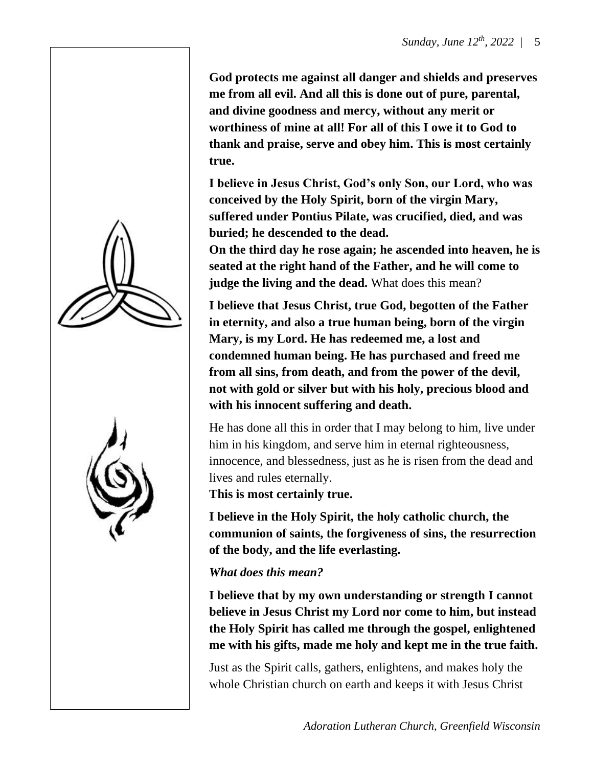**God protects me against all danger and shields and preserves me from all evil. And all this is done out of pure, parental, and divine goodness and mercy, without any merit or worthiness of mine at all! For all of this I owe it to God to thank and praise, serve and obey him. This is most certainly true.**

**I believe in Jesus Christ, God's only Son, our Lord, who was conceived by the Holy Spirit, born of the virgin Mary, suffered under Pontius Pilate, was crucified, died, and was buried; he descended to the dead.** 

**On the third day he rose again; he ascended into heaven, he is seated at the right hand of the Father, and he will come to judge the living and the dead.** What does this mean?

**I believe that Jesus Christ, true God, begotten of the Father in eternity, and also a true human being, born of the virgin Mary, is my Lord. He has redeemed me, a lost and condemned human being. He has purchased and freed me from all sins, from death, and from the power of the devil, not with gold or silver but with his holy, precious blood and with his innocent suffering and death.** 

He has done all this in order that I may belong to him, live under him in his kingdom, and serve him in eternal righteousness, innocence, and blessedness, just as he is risen from the dead and lives and rules eternally.

**This is most certainly true.**

**I believe in the Holy Spirit, the holy catholic church, the communion of saints, the forgiveness of sins, the resurrection of the body, and the life everlasting.**

*What does this mean?*

**I believe that by my own understanding or strength I cannot believe in Jesus Christ my Lord nor come to him, but instead the Holy Spirit has called me through the gospel, enlightened me with his gifts, made me holy and kept me in the true faith.**

Just as the Spirit calls, gathers, enlightens, and makes holy the whole Christian church on earth and keeps it with Jesus Christ



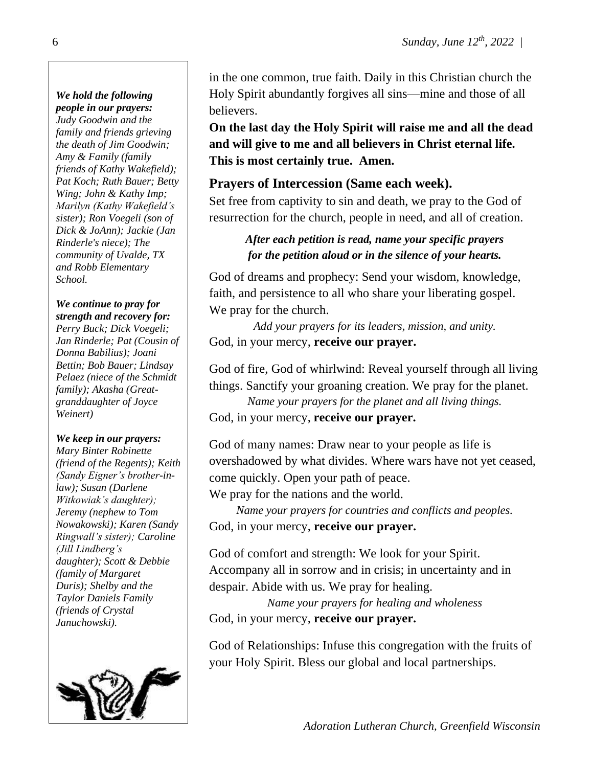# *We hold the following*

*people in our prayers: Judy Goodwin and the family and friends grieving the death of Jim Goodwin; Amy & Family (family friends of Kathy Wakefield); Pat Koch; Ruth Bauer; Betty Wing; John & Kathy Imp; Marilyn (Kathy Wakefield's sister); Ron Voegeli (son of Dick & JoAnn); Jackie (Jan Rinderle's niece); The community of Uvalde, TX and Robb Elementary School.*

#### *We continue to pray for strength and recovery for:*

*Perry Buck; Dick Voegeli; Jan Rinderle; Pat (Cousin of Donna Babilius); Joani Bettin; Bob Bauer; Lindsay Pelaez (niece of the Schmidt family); Akasha (Greatgranddaughter of Joyce Weinert)*

#### *We keep in our prayers:*

*Mary Binter Robinette (friend of the Regents); Keith (Sandy Eigner's brother-inlaw); Susan (Darlene Witkowiak's daughter); Jeremy (nephew to Tom Nowakowski); Karen (Sandy Ringwall's sister); Caroline (Jill Lindberg's daughter); Scott & Debbie (family of Margaret Duris); Shelby and the Taylor Daniels Family (friends of Crystal Januchowski).*



in the one common, true faith. Daily in this Christian church the Holy Spirit abundantly forgives all sins—mine and those of all believers.

**On the last day the Holy Spirit will raise me and all the dead and will give to me and all believers in Christ eternal life. This is most certainly true. Amen.** 

### **Prayers of Intercession (Same each week).**

Set free from captivity to sin and death, we pray to the God of resurrection for the church, people in need, and all of creation.

#### *After each petition is read, name your specific prayers for the petition aloud or in the silence of your hearts.*

God of dreams and prophecy: Send your wisdom, knowledge, faith, and persistence to all who share your liberating gospel. We pray for the church.

*Add your prayers for its leaders, mission, and unity.* God, in your mercy, **receive our prayer.**

God of fire, God of whirlwind: Reveal yourself through all living things. Sanctify your groaning creation. We pray for the planet.

*Name your prayers for the planet and all living things.*

God, in your mercy, **receive our prayer.**

God of many names: Draw near to your people as life is overshadowed by what divides. Where wars have not yet ceased, come quickly. Open your path of peace.

We pray for the nations and the world.

*Name your prayers for countries and conflicts and peoples.* God, in your mercy, **receive our prayer.**

God of comfort and strength: We look for your Spirit. Accompany all in sorrow and in crisis; in uncertainty and in despair. Abide with us. We pray for healing.

*Name your prayers for healing and wholeness* God, in your mercy, **receive our prayer.**

God of Relationships: Infuse this congregation with the fruits of your Holy Spirit. Bless our global and local partnerships.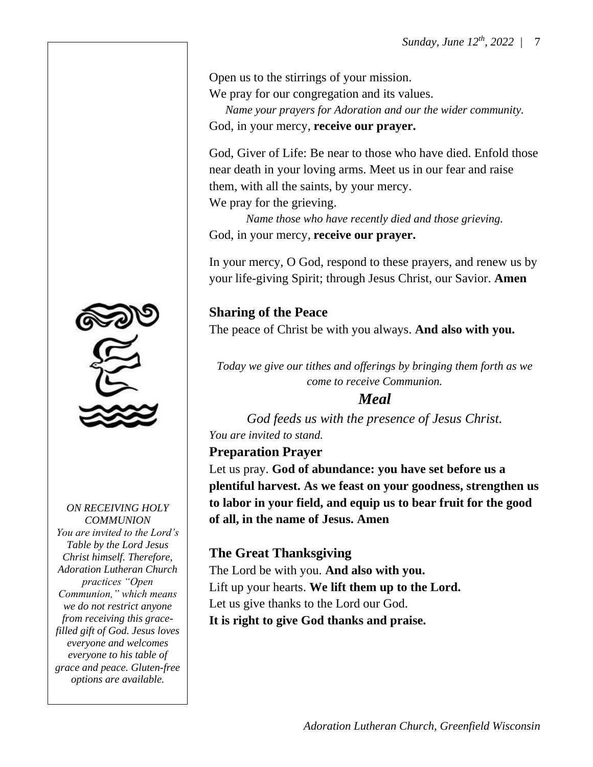Open us to the stirrings of your mission. We pray for our congregation and its values. *Name your prayers for Adoration and our the wider community.* God, in your mercy, **receive our prayer.**

God, Giver of Life: Be near to those who have died. Enfold those near death in your loving arms. Meet us in our fear and raise them, with all the saints, by your mercy. We pray for the grieving.

*Name those who have recently died and those grieving.* God, in your mercy, **receive our prayer.**

In your mercy, O God, respond to these prayers, and renew us by your life-giving Spirit; through Jesus Christ, our Savior. **Amen**

**Sharing of the Peace** The peace of Christ be with you always. **And also with you.**

*Today we give our tithes and offerings by bringing them forth as we come to receive Communion.* 

### *Meal*

*God feeds us with the presence of Jesus Christ. You are invited to stand.*

**Preparation Prayer**

Let us pray. **God of abundance: you have set before us a plentiful harvest. As we feast on your goodness, strengthen us to labor in your field, and equip us to bear fruit for the good of all, in the name of Jesus. Amen**

## **The Great Thanksgiving**

The Lord be with you. **And also with you.** Lift up your hearts. **We lift them up to the Lord.** Let us give thanks to the Lord our God. **It is right to give God thanks and praise.**



*ON RECEIVING HOLY COMMUNION You are invited to the Lord's Table by the Lord Jesus Christ himself. Therefore, Adoration Lutheran Church practices "Open Communion," which means we do not restrict anyone from receiving this gracefilled gift of God. Jesus loves everyone and welcomes everyone to his table of grace and peace. Gluten-free options are available.*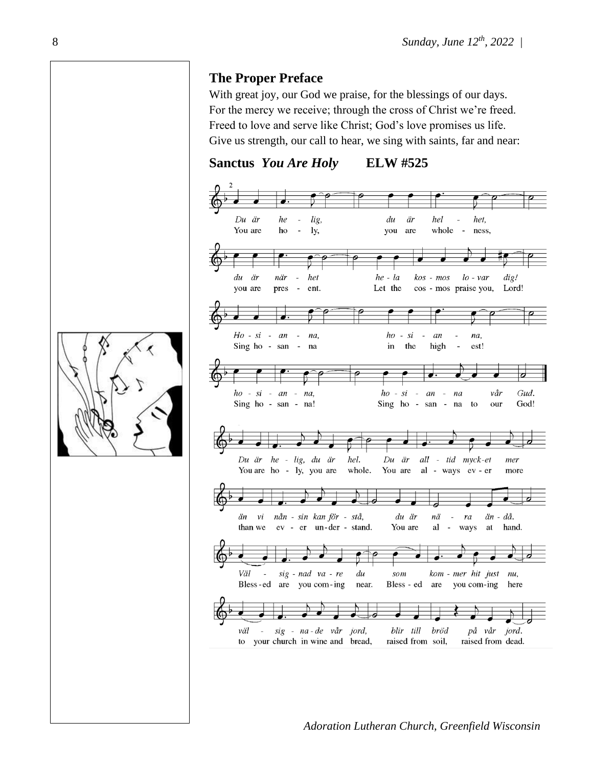#### **The Proper Preface**

With great joy, our God we praise, for the blessings of our days. For the mercy we receive; through the cross of Christ we're freed. Freed to love and serve like Christ; God's love promises us life. Give us strength, our call to hear, we sing with saints, far and near:

**Sanctus** *You Are Holy* **ELW #525**



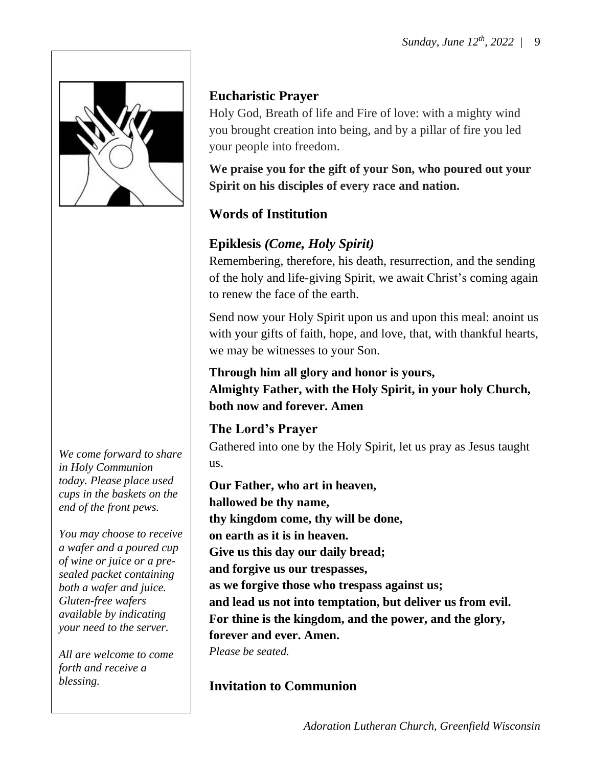

*We come forward to share in Holy Communion today. Please place used cups in the baskets on the end of the front pews.*

*You may choose to receive a wafer and a poured cup of wine or juice or a presealed packet containing both a wafer and juice. Gluten-free wafers available by indicating your need to the server.*

*All are welcome to come forth and receive a blessing.*

## **Eucharistic Prayer**

Holy God, Breath of life and Fire of love: with a mighty wind you brought creation into being, and by a pillar of fire you led your people into freedom.

**We praise you for the gift of your Son, who poured out your Spirit on his disciples of every race and nation.**

## **Words of Institution**

# **Epiklesis** *(Come, Holy Spirit)*

Remembering, therefore, his death, resurrection, and the sending of the holy and life-giving Spirit, we await Christ's coming again to renew the face of the earth.

Send now your Holy Spirit upon us and upon this meal: anoint us with your gifts of faith, hope, and love, that, with thankful hearts, we may be witnesses to your Son.

**Through him all glory and honor is yours, Almighty Father, with the Holy Spirit, in your holy Church, both now and forever. Amen**

## **The Lord's Prayer**

Gathered into one by the Holy Spirit, let us pray as Jesus taught us.

**Our Father, who art in heaven, hallowed be thy name, thy kingdom come, thy will be done, on earth as it is in heaven. Give us this day our daily bread; and forgive us our trespasses, as we forgive those who trespass against us; and lead us not into temptation, but deliver us from evil. For thine is the kingdom, and the power, and the glory, forever and ever. Amen.** *Please be seated.*

# **Invitation to Communion**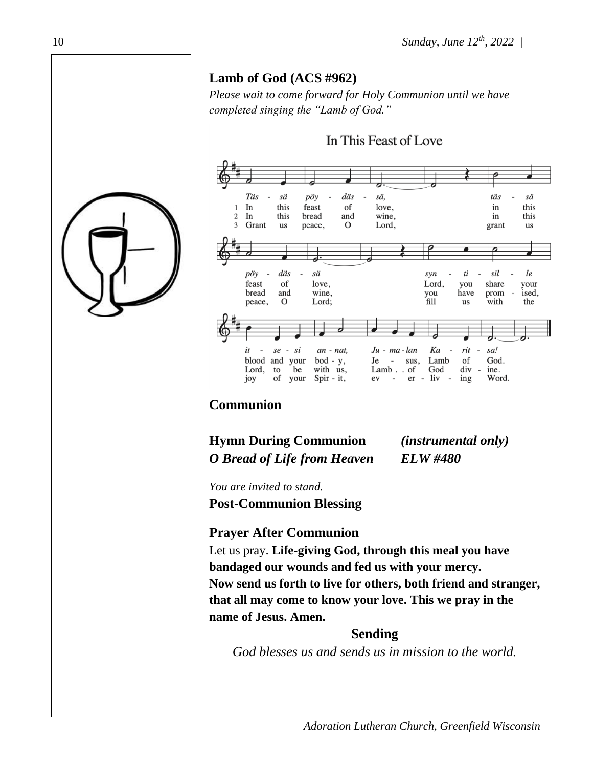## **Lamb of God (ACS #962)**

*Please wait to come forward for Holy Communion until we have completed singing the "Lamb of God."*



#### **Communion**

**Hymn During Communion** *(instrumental only) O Bread of Life from Heaven ELW #480*

*You are invited to stand.* **Post-Communion Blessing**

### **Prayer After Communion**

Let us pray. **Life-giving God, through this meal you have bandaged our wounds and fed us with your mercy. Now send us forth to live for others, both friend and stranger, that all may come to know your love. This we pray in the name of Jesus. Amen.**

#### **Sending**

*God blesses us and sends us in mission to the world.*

10